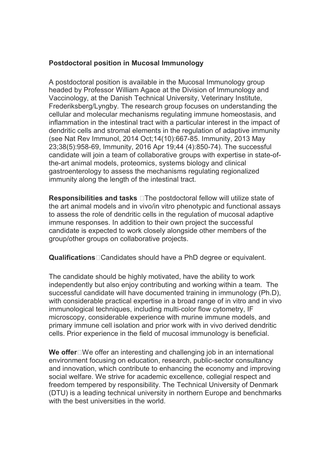## Postdoctoral position in Mucosal Immunology

A postdoctoral position is available in the Mucosal Immunology group headed by Professor William Agace at the Division of Immunology and Vaccinology, at the Danish Technical University, Veterinary Institute, Frederiksberg/Lyngby. The research group focuses on understanding the cellular and molecular mechanisms regulating immune homeostasis, and inflammation in the intestinal tract with a particular interest in the impact of dendritic cells and stromal elements in the regulation of adaptive immunity (see Nat Rev Immunol, 2014 Oct;14(10):667-85. Immunity, 2013 May 23;38(5):958-69, Immunity, 2016 Apr 19;44 (4):850-74). The successful candidate will join a team of collaborative groups with expertise in state-ofthe-art animal models, proteomics, systems biology and clinical gastroenterology to assess the mechanisms regulating regionalized immunity along the length of the intestinal tract.

**Responsibilities and tasks**  $\Box$  The postdoctoral fellow will utilize state of the art animal models and in vivo/in vitro phenotypic and functional assays to assess the role of dendritic cells in the regulation of mucosal adaptive immune responses. In addition to their own project the successful candidate is expected to work closely alongside other members of the group/other groups on collaborative projects.

Qualifications Candidates should have a PhD degree or equivalent.

The candidate should be highly motivated, have the ability to work independently but also enjoy contributing and working within a team. The successful candidate will have documented training in immunology (Ph.D), with considerable practical expertise in a broad range of in vitro and in vivo immunological techniques, including multi-color flow cytometry, IF microscopy, considerable experience with murine immune models, and primary immune cell isolation and prior work with in vivo derived dendritic cells. Prior experience in the field of mucosal immunology is beneficial.

We offer $\square$ We offer an interesting and challenging job in an international environment focusing on education, research, public-sector consultancy and innovation, which contribute to enhancing the economy and improving social welfare. We strive for academic excellence, collegial respect and freedom tempered by responsibility. The Technical University of Denmark (DTU) is a leading technical university in northern Europe and benchmarks with the best universities in the world.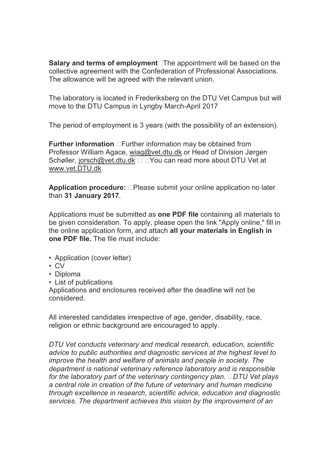Salary and terms of employment $\square$ The appointment will be based on the collective agreement with the Confederation of Professional Associations. The allowance will be agreed with the relevant union.

The laboratory is located in Frederiksberg on the DTU Vet Campus but will move to the DTU Campus in Lyngby March-April 2017

The period of employment is 3 years (with the possibility of an extension).

**Further information**  $\Box$  Further information may be obtained from Professor William Agace, wiag@vet.dtu.dk or Head of Division Jørgen Schøller, jorsch@vet.dtu.dk □ □ You can read more about DTU Vet at www.vet.DTU.dk

**Application procedure:**  $\Box$ Please submit your online application no later than 31 January 2017.

Applications must be submitted as one PDF file containing all materials to be given consideration. To apply, please open the link "Apply online," fill in the online application form, and attach all your materials in English in one PDF file. The file must include:

- Application (cover letter)
- CV
- Diploma
- List of publications

Applications and enclosures received after the deadline will not be considered.

All interested candidates irrespective of age, gender, disability, race, religion or ethnic background are encouraged to apply.

*DTU Vet conducts veterinary and medical research, education, scientific advice to public authorities and diagnostic services at the highest level to improve the health and welfare of animals and people in society. The department is national veterinary reference laboratory and is responsible for the laboratory part of the veterinary contingency plan. DTU Vet plays a central role in creation of the future of veterinary and human medicine through excellence in research, scientific advice, education and diagnostic services. The department achieves this vision by the improvement of an*